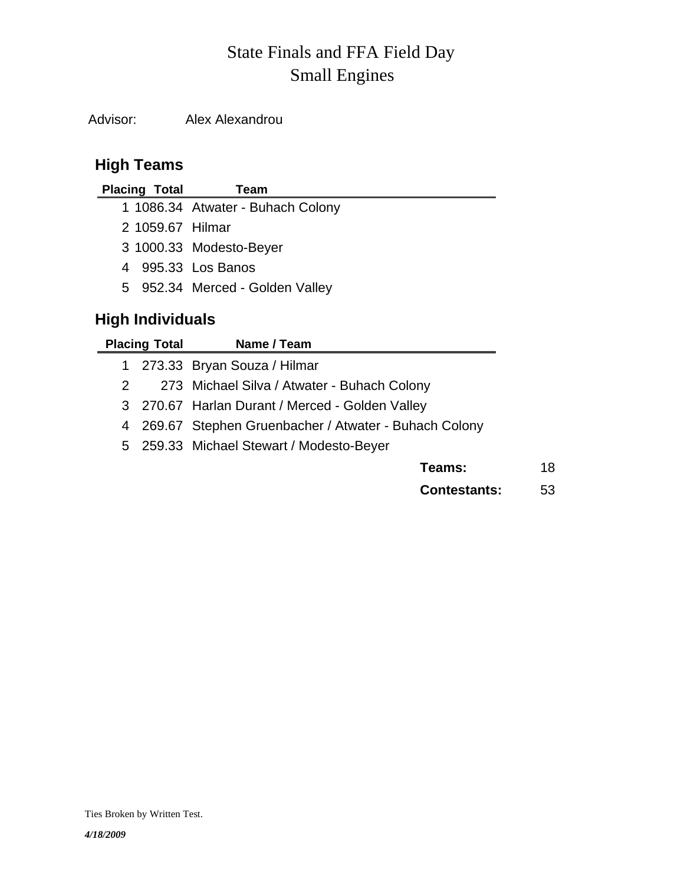## Small Engines State Finals and FFA Field Day

Advisor: Alex Alexandrou

## **High Teams**

| <b>Placing Total</b> | Team                              |
|----------------------|-----------------------------------|
|                      | 1 1086.34 Atwater - Buhach Colony |
| 2 1059.67 Hilmar     |                                   |
|                      | 3 1000.33 Modesto-Beyer           |
|                      | 4 995.33 Los Banos                |
|                      | 5 952.34 Merced - Golden Valley   |
|                      |                                   |

## **High Individuals**

| <b>Placing Total</b>                                   | Name / Team                                     |    |  |  |
|--------------------------------------------------------|-------------------------------------------------|----|--|--|
|                                                        | 1 273.33 Bryan Souza / Hilmar                   |    |  |  |
|                                                        | 273 Michael Silva / Atwater - Buhach Colony     |    |  |  |
|                                                        | 3 270.67 Harlan Durant / Merced - Golden Valley |    |  |  |
| 4 269.67 Stephen Gruenbacher / Atwater - Buhach Colony |                                                 |    |  |  |
|                                                        | 5 259.33 Michael Stewart / Modesto-Beyer        |    |  |  |
|                                                        | <b>Teams:</b>                                   | 18 |  |  |
|                                                        | <b>Contestants:</b>                             | 53 |  |  |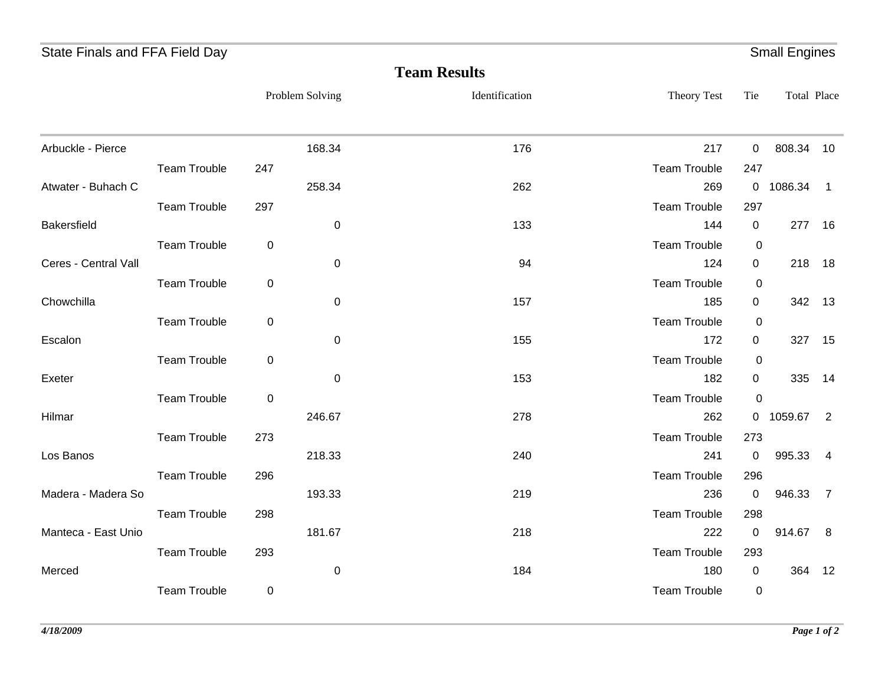| State Finals and FFA Field Day |                     |             |                 |                     |                     |                | <b>Small Engines</b> |                |
|--------------------------------|---------------------|-------------|-----------------|---------------------|---------------------|----------------|----------------------|----------------|
|                                |                     |             |                 | <b>Team Results</b> |                     |                |                      |                |
|                                |                     |             | Problem Solving | Identification      | Theory Test         | Tie            | Total Place          |                |
| Arbuckle - Pierce              |                     |             | 168.34          | 176                 | 217                 | $\mathbf 0$    | 808.34 10            |                |
|                                | <b>Team Trouble</b> | 247         |                 |                     | <b>Team Trouble</b> | 247            |                      |                |
| Atwater - Buhach C             |                     |             | 258.34          | 262                 | 269                 |                | 0 1086.34            | $\overline{1}$ |
|                                | <b>Team Trouble</b> | 297         |                 |                     | <b>Team Trouble</b> | 297            |                      |                |
| <b>Bakersfield</b>             |                     |             | $\pmb{0}$       | 133                 | 144                 | $\mathbf 0$    | 277                  | 16             |
|                                | <b>Team Trouble</b> | $\mathbf 0$ |                 |                     | <b>Team Trouble</b> | 0              |                      |                |
| Ceres - Central Vall           |                     |             | $\mathbf 0$     | 94                  | 124                 | 0              | 218 18               |                |
|                                | <b>Team Trouble</b> | $\pmb{0}$   |                 |                     | <b>Team Trouble</b> | 0              |                      |                |
| Chowchilla                     |                     |             | 0               | 157                 | 185                 | $\mathbf 0$    | 342 13               |                |
|                                | <b>Team Trouble</b> | $\pmb{0}$   |                 |                     | <b>Team Trouble</b> | $\mathbf 0$    |                      |                |
| Escalon                        |                     |             | 0               | 155                 | 172                 | $\mathbf 0$    | 327 15               |                |
|                                | <b>Team Trouble</b> | $\pmb{0}$   |                 |                     | <b>Team Trouble</b> | $\mathbf 0$    |                      |                |
| Exeter                         |                     |             | $\mathbf 0$     | 153                 | 182                 | $\mathbf 0$    | 335 14               |                |
|                                | <b>Team Trouble</b> | $\mathbf 0$ |                 |                     | <b>Team Trouble</b> | 0              |                      |                |
| Hilmar                         |                     |             | 246.67          | 278                 | 262                 | $\mathbf 0$    | 1059.67 2            |                |
|                                | <b>Team Trouble</b> | 273         |                 |                     | <b>Team Trouble</b> | 273            |                      |                |
| Los Banos                      |                     |             | 218.33          | 240                 | 241                 | $\overline{0}$ | 995.33 4             |                |
|                                | <b>Team Trouble</b> | 296         |                 |                     | <b>Team Trouble</b> | 296            |                      |                |
| Madera - Madera So             |                     |             | 193.33          | 219                 | 236                 | $\mathbf 0$    | 946.33 7             |                |
|                                | <b>Team Trouble</b> | 298         |                 |                     | <b>Team Trouble</b> | 298            |                      |                |
| Manteca - East Unio            |                     |             | 181.67          | 218                 | 222                 | $\mathbf 0$    | 914.67 8             |                |
|                                | <b>Team Trouble</b> | 293         |                 |                     | <b>Team Trouble</b> | 293            |                      |                |
| Merced                         |                     |             | $\mathbf 0$     | 184                 | 180                 | $\overline{0}$ | 364 12               |                |
|                                | <b>Team Trouble</b> | $\pmb{0}$   |                 |                     | <b>Team Trouble</b> | $\mathbf 0$    |                      |                |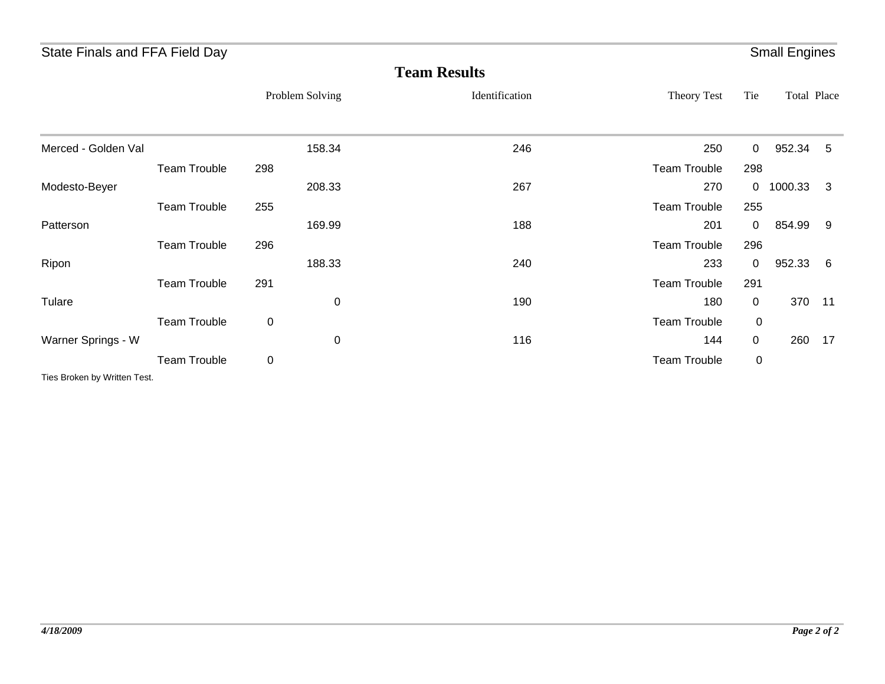| State Finals and FFA Field Day |                     |             |                 |                     |                |                     |                | <b>Small Engines</b> |              |
|--------------------------------|---------------------|-------------|-----------------|---------------------|----------------|---------------------|----------------|----------------------|--------------|
|                                |                     |             |                 | <b>Team Results</b> |                |                     |                |                      |              |
|                                |                     |             | Problem Solving |                     | Identification | Theory Test         | Tie            | Total Place          |              |
| Merced - Golden Val            |                     |             | 158.34          |                     | 246            | 250                 | $\mathbf 0$    | 952.34               | 5            |
|                                | <b>Team Trouble</b> | 298         |                 |                     |                | <b>Team Trouble</b> | 298            |                      |              |
| Modesto-Beyer                  |                     |             | 208.33          |                     | 267            | 270                 | 0              | 1000.33              | $\mathbf{3}$ |
|                                | <b>Team Trouble</b> | 255         |                 |                     |                | <b>Team Trouble</b> | 255            |                      |              |
| Patterson                      |                     |             | 169.99          |                     | 188            | 201                 | 0              | 854.99               | - 9          |
|                                | <b>Team Trouble</b> | 296         |                 |                     |                | <b>Team Trouble</b> | 296            |                      |              |
| Ripon                          |                     |             | 188.33          |                     | 240            | 233                 | $\mathbf 0$    | 952.33               | 6            |
|                                | <b>Team Trouble</b> | 291         |                 |                     |                | <b>Team Trouble</b> | 291            |                      |              |
| Tulare                         |                     |             | $\mathbf 0$     |                     | 190            | 180                 | $\mathbf 0$    | 370                  | 11           |
|                                | <b>Team Trouble</b> | $\mathbf 0$ |                 |                     |                | <b>Team Trouble</b> | $\overline{0}$ |                      |              |
| Warner Springs - W             |                     |             | $\mathbf 0$     |                     | 116            | 144                 | $\mathbf 0$    | 260                  | 17           |
|                                | <b>Team Trouble</b> | $\pmb{0}$   |                 |                     |                | <b>Team Trouble</b> | $\overline{0}$ |                      |              |

Ties Broken by Written Test.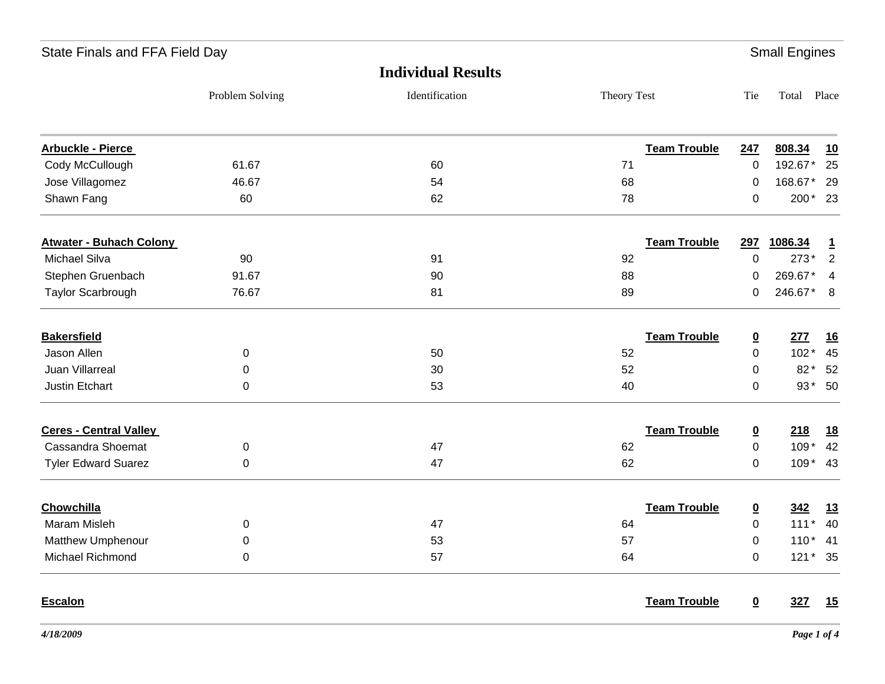| State Finals and FFA Field Day |                 |                           |             |                     |                          | <b>Small Engines</b> |                |
|--------------------------------|-----------------|---------------------------|-------------|---------------------|--------------------------|----------------------|----------------|
|                                |                 | <b>Individual Results</b> |             |                     |                          |                      |                |
|                                | Problem Solving | Identification            | Theory Test |                     | Tie                      | Total Place          |                |
| <b>Arbuckle - Pierce</b>       |                 |                           |             | <b>Team Trouble</b> | 247                      | 808.34               | <u>10</u>      |
| Cody McCullough                | 61.67           | 60                        | 71          |                     | 0                        | 192.67*              | 25             |
| Jose Villagomez                | 46.67           | 54                        | 68          |                     | $\pmb{0}$                | 168.67*              | 29             |
| Shawn Fang                     | 60              | 62                        | 78          |                     | 0                        | 200*                 | 23             |
| <b>Atwater - Buhach Colony</b> |                 |                           |             | <b>Team Trouble</b> | 297                      | 1086.34              | $\mathbf 1$    |
| <b>Michael Silva</b>           | 90              | 91                        | 92          |                     | 0                        | 273*                 | $\overline{2}$ |
| Stephen Gruenbach              | 91.67           | 90                        | 88          |                     | 0                        | 269.67*              | 4              |
| Taylor Scarbrough              | 76.67           | 81                        | 89          |                     | 0                        | 246.67*              | 8              |
| <b>Bakersfield</b>             |                 |                           |             | <b>Team Trouble</b> | $\underline{\mathbf{0}}$ | 277                  | <u>16</u>      |
| Jason Allen                    | 0               | 50                        | 52          |                     | 0                        | $102*$               | 45             |
| Juan Villarreal                | 0               | 30                        | 52          |                     | 0                        | 82*                  | 52             |
| Justin Etchart                 | 0               | 53                        | 40          |                     | $\mathbf 0$              | $93*$                | 50             |
| <b>Ceres - Central Valley</b>  |                 |                           |             | <b>Team Trouble</b> | $\underline{\mathbf{0}}$ | 218                  | <u>18</u>      |
| Cassandra Shoemat              | 0               | 47                        | 62          |                     | 0                        | 109*                 | 42             |
| <b>Tyler Edward Suarez</b>     | 0               | 47                        | 62          |                     | $\mathbf 0$              | $109*$               | 43             |
| <b>Chowchilla</b>              |                 |                           |             | <b>Team Trouble</b> | $\overline{\mathbf{0}}$  | <u>342</u>           | <u>13</u>      |
| Maram Misleh                   | 0               | 47                        | 64          |                     | $\mathbf 0$              | $111*$               | 40             |
| Matthew Umphenour              | 0               | 53                        | 57          |                     | 0                        |                      | $110* 41$      |
| Michael Richmond               | 0               | 57                        | 64          |                     | $\mathbf 0$              |                      | 121 * 35       |
| <b>Escalon</b>                 |                 |                           |             | <b>Team Trouble</b> | $\underline{\mathbf{0}}$ | <u>327</u>           | <u>15</u>      |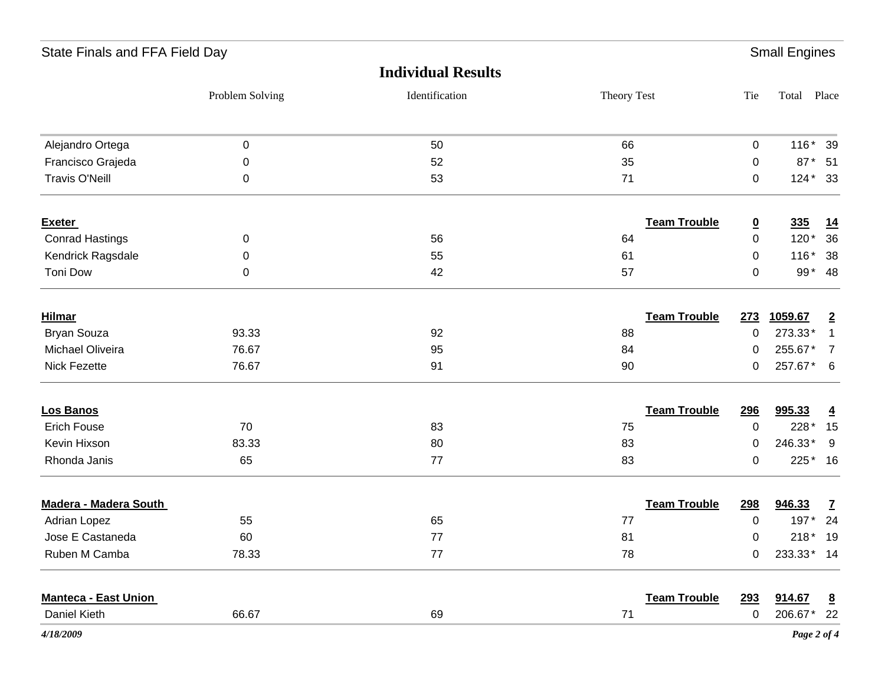| State Finals and FFA Field Day |                 |                           |             |                                                | <b>Small Engines</b> |                |
|--------------------------------|-----------------|---------------------------|-------------|------------------------------------------------|----------------------|----------------|
|                                |                 | <b>Individual Results</b> |             |                                                |                      |                |
|                                | Problem Solving | Identification            | Theory Test | Tie                                            | Total Place          |                |
| Alejandro Ortega               | $\mathbf 0$     | 50                        | 66          | $\mathbf 0$                                    | $116*$               | 39             |
| Francisco Grajeda              | 0               | 52                        | 35          | 0                                              | $87*$                | 51             |
| <b>Travis O'Neill</b>          | $\pmb{0}$       | 53                        | 71          | $\mathbf 0$                                    |                      | $124*33$       |
| <b>Exeter</b>                  |                 |                           |             | <b>Team Trouble</b><br>$\overline{\mathbf{0}}$ | 335                  | <u>14</u>      |
| <b>Conrad Hastings</b>         | 0               | 56                        | 64          | $\pmb{0}$                                      | $120*$               | 36             |
| Kendrick Ragsdale              | 0               | 55                        | 61          | 0                                              | $116*$               | 38             |
| <b>Toni Dow</b>                | 0               | 42                        | 57          | 0                                              |                      | 99* 48         |
| <b>Hilmar</b>                  |                 |                           |             | <b>Team Trouble</b><br>273                     | 1059.67              | $\overline{2}$ |
| <b>Bryan Souza</b>             | 93.33           | 92                        | 88          | $\pmb{0}$                                      | 273.33*              | $\overline{1}$ |
| Michael Oliveira               | 76.67           | 95                        | 84          | $\mathbf 0$                                    | 255.67*              | $\overline{7}$ |
| Nick Fezette                   | 76.67           | 91                        | 90          | 0                                              | 257.67* 6            |                |
| <b>Los Banos</b>               |                 |                           |             | <b>Team Trouble</b><br><u>296</u>              | 995.33               | $\overline{4}$ |
| <b>Erich Fouse</b>             | 70              | 83                        | 75          | $\pmb{0}$                                      | 228 *                | 15             |
| Kevin Hixson                   | 83.33           | 80                        | 83          | $\pmb{0}$                                      | 246.33*              | - 9            |
| Rhonda Janis                   | 65              | 77                        | 83          | $\mathbf 0$                                    |                      | 225* 16        |
| Madera - Madera South          |                 |                           |             | <b>Team Trouble</b><br><u>298</u>              | 946.33               | $\mathbf{Z}$   |
| <b>Adrian Lopez</b>            | 55              | 65                        | 77          | $\mathbf 0$                                    | 197*                 | 24             |
| Jose E Castaneda               | 60              | 77                        | 81          | 0                                              |                      | $218*19$       |
| Ruben M Camba                  | 78.33           | 77                        | 78          | $\mathbf 0$                                    | 233.33* 14           |                |
| <b>Manteca - East Union</b>    |                 |                           |             | <b>Team Trouble</b><br><u>293</u>              | 914.67               | $\frac{8}{2}$  |
| Daniel Kieth                   | 66.67           | 69                        | 71          | 0                                              | 206.67* 22           |                |
| 4/18/2009                      |                 |                           |             |                                                |                      | Page 2 of 4    |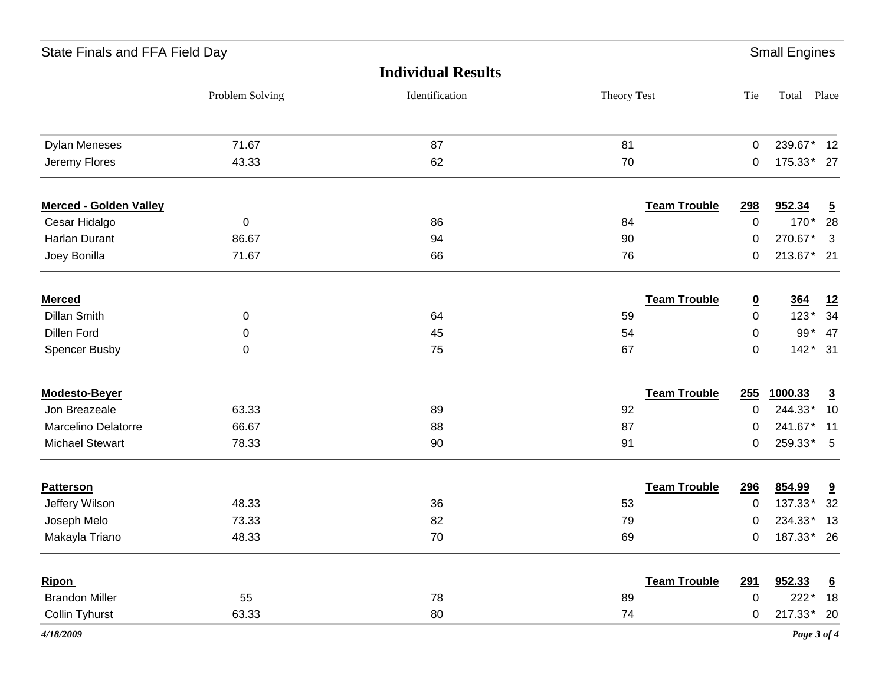| State Finals and FFA Field Day |                 |                           | <b>Small Engines</b> |                     |                         |             |                         |
|--------------------------------|-----------------|---------------------------|----------------------|---------------------|-------------------------|-------------|-------------------------|
|                                |                 | <b>Individual Results</b> |                      |                     |                         |             |                         |
|                                | Problem Solving | Identification            | Theory Test          |                     | Tie                     | Total Place |                         |
| <b>Dylan Meneses</b>           | 71.67           | 87                        | 81                   |                     | 0                       | 239.67*     | 12                      |
| Jeremy Flores                  | 43.33           | 62                        | 70                   |                     | 0                       | 175.33* 27  |                         |
| <b>Merced - Golden Valley</b>  |                 |                           |                      | <b>Team Trouble</b> | 298                     | 952.34      | $\overline{5}$          |
| Cesar Hidalgo                  | 0               | 86                        | 84                   |                     | 0                       | 170*        | 28                      |
| Harlan Durant                  | 86.67           | 94                        | 90                   |                     | 0                       | 270.67*     | $\overline{3}$          |
| Joey Bonilla                   | 71.67           | 66                        | 76                   |                     | 0                       | 213.67*     | 21                      |
| <b>Merced</b>                  |                 |                           |                      | <b>Team Trouble</b> | $\overline{\mathbf{0}}$ | <u>364</u>  | <u>12</u>               |
| <b>Dillan Smith</b>            | 0               | 64                        | 59                   |                     | 0                       | $123*$      | 34                      |
| Dillen Ford                    | 0               | 45                        | 54                   |                     | 0                       | $99*$       | 47                      |
| <b>Spencer Busby</b>           | 0               | 75                        | 67                   |                     | 0                       | $142*$      | 31                      |
| <b>Modesto-Beyer</b>           |                 |                           |                      | <b>Team Trouble</b> | 255                     | 1000.33     | $\overline{3}$          |
| Jon Breazeale                  | 63.33           | 89                        | 92                   |                     | 0                       | 244.33*     | 10                      |
| Marcelino Delatorre            | 66.67           | 88                        | 87                   |                     | 0                       | 241.67*     | 11                      |
| <b>Michael Stewart</b>         | 78.33           | 90                        | 91                   |                     | 0                       | 259.33* 5   |                         |
| <b>Patterson</b>               |                 |                           |                      | <b>Team Trouble</b> | 296                     | 854.99      | $\overline{\mathbf{a}}$ |
| Jeffery Wilson                 | 48.33           | 36                        | 53                   |                     | 0                       | 137.33*     | 32                      |
| Joseph Melo                    | 73.33           | 82                        | 79                   |                     | 0                       | 234.33*     | 13                      |
| Makayla Triano                 | 48.33           | 70                        | 69                   |                     | $\mathbf{0}$            | 187.33* 26  |                         |
| <b>Ripon</b>                   |                 |                           |                      | <b>Team Trouble</b> | 291                     | 952.33      | $\underline{6}$         |
| <b>Brandon Miller</b>          | 55              | 78                        | 89                   |                     | 0                       | $222*$      | 18                      |
| Collin Tyhurst                 | 63.33           | 80                        | 74                   |                     | 0                       | 217.33* 20  |                         |
| 4/18/2009                      |                 |                           |                      |                     |                         |             | Page 3 of 4             |